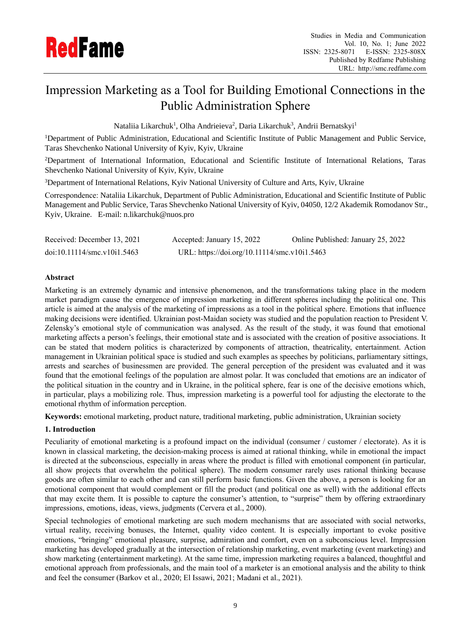

# Impression Marketing as a Tool for Building Emotional Connections in the Public Administration Sphere

Nataliia Likarchuk<sup>1</sup>, Olha Andrieieva<sup>2</sup>, Daria Likarchuk<sup>3</sup>, Andrii Bernatskyi<sup>1</sup>

<sup>1</sup>Department of Public Administration, Educational and Scientific Institute of Public Management and Public Service, Taras Shevchenko National University of Kyiv, Kyiv, Ukraine

<sup>2</sup>Department of International Information, Educational and Scientific Institute of International Relations, Taras Shevchenko National University of Kyiv, Kyiv, Ukraine

<sup>3</sup>Department of International Relations, Kyiv National University of Culture and Arts, Kyiv, Ukraine

Correspondence: Nataliia Likarchuk, Department of Public Administration, Educational and Scientific Institute of Public Management and Public Service, Taras Shevchenko National University of Kyiv, 04050, 12/2 Akademik Romodanov Str., Kyiv, Ukraine. E-mail: n.likarchuk@nuos.pro

| Received: December 13, 2021 | Accepted: January 15, 2022                   | Online Published: January 25, 2022 |
|-----------------------------|----------------------------------------------|------------------------------------|
| doi:10.11114/smc.v10i1.5463 | URL: https://doi.org/10.11114/smc.v10i1.5463 |                                    |

# **Abstract**

Marketing is an extremely dynamic and intensive phenomenon, and the transformations taking place in the modern market paradigm cause the emergence of impression marketing in different spheres including the political one. This article is aimed at the analysis of the marketing of impressions as a tool in the political sphere. Emotions that influence making decisions were identified. Ukrainian post-Maidan society was studied and the population reaction to President V. Zelensky's emotional style of communication was analysed. As the result of the study, it was found that emotional marketing affects a person's feelings, their emotional state and is associated with the creation of positive associations. It can be stated that modern politics is characterized by components of attraction, theatricality, entertainment. Action management in Ukrainian political space is studied and such examples as speeches by politicians, parliamentary sittings, arrests and searches of businessmen are provided. The general perception of the president was evaluated and it was found that the emotional feelings of the population are almost polar. It was concluded that emotions are an indicator of the political situation in the country and in Ukraine, in the political sphere, fear is one of the decisive emotions which, in particular, plays a mobilizing role. Thus, impression marketing is a powerful tool for adjusting the electorate to the emotional rhythm of information perception.

**Keywords:** emotional marketing, product nature, traditional marketing, public administration, Ukrainian society

## **1. Introduction**

Peculiarity of emotional marketing is a profound impact on the individual (consumer / customer / electorate). As it is known in classical marketing, the decision-making process is aimed at rational thinking, while in emotional the impact is directed at the subconscious, especially in areas where the product is filled with emotional component (in particular, all show projects that overwhelm the political sphere). The modern consumer rarely uses rational thinking because goods are often similar to each other and can still perform basic functions. Given the above, a person is looking for an emotional component that would complement or fill the product (and political one as well) with the additional effects that may excite them. It is possible to capture the consumer's attention, to "surprise" them by offering extraordinary impressions, emotions, ideas, views, judgments (Cervera et al., 2000).

Special technologies of emotional marketing are such modern mechanisms that are associated with social networks, virtual reality, receiving bonuses, the Internet, quality video content. It is especially important to evoke positive emotions, "bringing" emotional pleasure, surprise, admiration and comfort, even on a subconscious level. Impression marketing has developed gradually at the intersection of relationship marketing, event marketing (event marketing) and show marketing (entertainment marketing). At the same time, impression marketing requires a balanced, thoughtful and emotional approach from professionals, and the main tool of a marketer is an emotional analysis and the ability to think and feel the consumer (Barkov et al., 2020; El Issawi, 2021; Madani et al., 2021).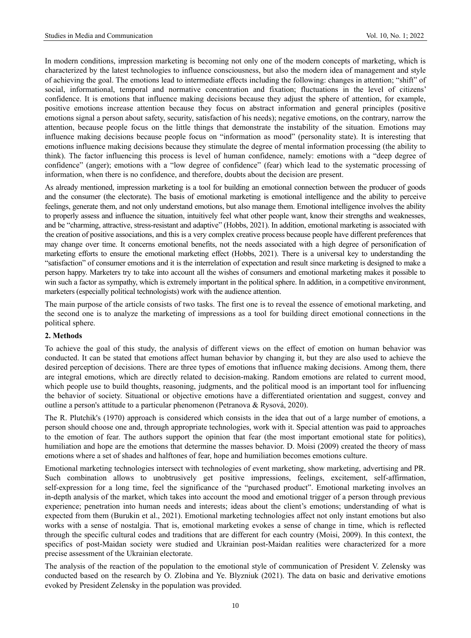In modern conditions, impression marketing is becoming not only one of the modern concepts of marketing, which is characterized by the latest technologies to influence consciousness, but also the modern idea of management and style of achieving the goal. The emotions lead to intermediate effects including the following: changes in attention; "shift" of social, informational, temporal and normative concentration and fixation; fluctuations in the level of citizens' confidence. It is emotions that influence making decisions because they adjust the sphere of attention, for example, positive emotions increase attention because they focus on abstract information and general principles (positive emotions signal a person about safety, security, satisfaction of his needs); negative emotions, on the contrary, narrow the attention, because people focus on the little things that demonstrate the instability of the situation. Emotions may influence making decisions because people focus on "information as mood" (personality state). It is interesting that emotions influence making decisions because they stimulate the degree of mental information processing (the ability to think). The factor influencing this process is level of human confidence, namely: emotions with a "deep degree of confidence" (anger); emotions with a "low degree of confidence" (fear) which lead to the systematic processing of information, when there is no confidence, and therefore, doubts about the decision are present.

As already mentioned, impression marketing is a tool for building an emotional connection between the producer of goods and the consumer (the electorate). The basis of emotional marketing is emotional intelligence and the ability to perceive feelings, generate them, and not only understand emotions, but also manage them. Emotional intelligence involves the ability to properly assess and influence the situation, intuitively feel what other people want, know their strengths and weaknesses, and be "charming, attractive, stress-resistant and adaptive" (Hobbs, 2021). In addition, emotional marketing is associated with the creation of positive associations, and this is a very complex creative process because people have different preferences that may change over time. It concerns emotional benefits, not the needs associated with a high degree of personification of marketing efforts to ensure the emotional marketing effect (Hobbs, 2021). There is a universal key to understanding the "satisfaction" of consumer emotions and it is the interrelation of expectation and result since marketing is designed to make a person happy. Marketers try to take into account all the wishes of consumers and emotional marketing makes it possible to win such a factor as sympathy, which is extremely important in the political sphere. In addition, in a competitive environment, marketers (especially political technologists) work with the audience attention.

The main purpose of the article consists of two tasks. The first one is to reveal the essence of emotional marketing, and the second one is to analyze the marketing of impressions as a tool for building direct emotional connections in the political sphere.

#### **2. Methods**

To achieve the goal of this study, the analysis of different views on the effect of emotion on human behavior was conducted. It can be stated that emotions affect human behavior by changing it, but they are also used to achieve the desired perception of decisions. There are three types of emotions that influence making decisions. Among them, there are integral emotions, which are directly related to decision-making. Random emotions are related to current mood, which people use to build thoughts, reasoning, judgments, and the political mood is an important tool for influencing the behavior of society. Situational or objective emotions have a differentiated orientation and suggest, convey and outline a person's attitude to a particular phenomenon (Petranova & Rysová, 2020).

The R. Plutchik's (1970) approach is considered which consists in the idea that out of a large number of emotions, a person should choose one and, through appropriate technologies, work with it. Special attention was paid to approaches to the emotion of fear. The authors support the opinion that fear (the most important emotional state for politics), humiliation and hope are the emotions that determine the masses behavior. D. Moisi (2009) created the theory of mass emotions where a set of shades and halftones of fear, hope and humiliation becomes emotions culture.

Emotional marketing technologies intersect with technologies of event marketing, show marketing, advertising and PR. Such combination allows to unobtrusively get positive impressions, feelings, excitement, self-affirmation, self-expression for a long time, feel the significance of the "purchased product". Emotional marketing involves an in-depth analysis of the market, which takes into account the mood and emotional trigger of a person through previous experience; penetration into human needs and interests; ideas about the client's emotions; understanding of what is expected from them (Burukin et al., 2021). Emotional marketing technologies affect not only instant emotions but also works with a sense of nostalgia. That is, emotional marketing evokes a sense of change in time, which is reflected through the specific cultural codes and traditions that are different for each country (Moisi, 2009). In this context, the specifics of post-Maidan society were studied and Ukrainian post-Maidan realities were characterized for a more precise assessment of the Ukrainian electorate.

The analysis of the reaction of the population to the emotional style of communication of President V. Zelensky was conducted based on the research by O. Zlobina and Ye. Blyzniuk (2021). The data on basic and derivative emotions evoked by President Zelensky in the population was provided.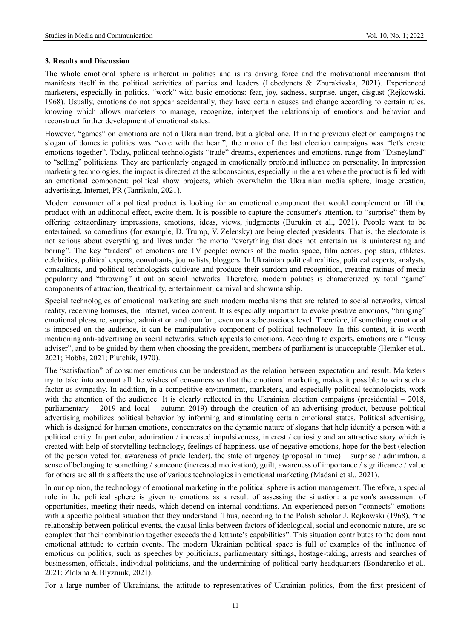## **3. Results and Discussion**

The whole emotional sphere is inherent in politics and is its driving force and the motivational mechanism that manifests itself in the political activities of parties and leaders (Lebedynets & Zhurakivska, 2021). Experienced marketers, especially in politics, "work" with basic emotions: fear, joy, sadness, surprise, anger, disgust (Rejkowski, 1968). Usually, emotions do not appear accidentally, they have certain causes and change according to certain rules, knowing which allows marketers to manage, recognize, interpret the relationship of emotions and behavior and reconstruct further development of emotional states.

However, "games" on emotions are not a Ukrainian trend, but a global one. If in the previous election campaigns the slogan of domestic politics was "vote with the heart", the motto of the last election campaigns was "let's create emotions together". Today, political technologists "trade" dreams, experiences and emotions, range from "Disneyland" to "selling" politicians. They are particularly engaged in emotionally profound influence on personality. In impression marketing technologies, the impact is directed at the subconscious, especially in the area where the product is filled with an emotional component: political show projects, which overwhelm the Ukrainian media sphere, image creation, advertising, Internet, PR (Tanrikulu, 2021).

Modern consumer of a political product is looking for an emotional component that would complement or fill the product with an additional effect, excite them. It is possible to capture the consumer's attention, to "surprise" them by offering extraordinary impressions, emotions, ideas, views, judgments (Burukin et al., 2021). People want to be entertained, so comedians (for example, D. Trump, V. Zelensky) are being elected presidents. That is, the electorate is not serious about everything and lives under the motto "everything that does not entertain us is uninteresting and boring". The key "traders" of emotions are TV people: owners of the media space, film actors, pop stars, athletes, celebrities, political experts, consultants, journalists, bloggers. In Ukrainian political realities, political experts, analysts, consultants, and political technologists cultivate and produce their stardom and recognition, creating ratings of media popularity and "throwing" it out on social networks. Therefore, modern politics is characterized by total "game" components of attraction, theatricality, entertainment, carnival and showmanship.

Special technologies of emotional marketing are such modern mechanisms that are related to social networks, virtual reality, receiving bonuses, the Internet, video content. It is especially important to evoke positive emotions, "bringing" emotional pleasure, surprise, admiration and comfort, even on a subconscious level. Therefore, if something emotional is imposed on the audience, it can be manipulative component of political technology. In this context, it is worth mentioning anti-advertising on social networks, which appeals to emotions. According to experts, emotions are a "lousy adviser", and to be guided by them when choosing the president, members of parliament is unacceptable (Hemker et al., 2021; Hobbs, 2021; Plutchik, 1970).

The "satisfaction" of consumer emotions can be understood as the relation between expectation and result. Marketers try to take into account all the wishes of consumers so that the emotional marketing makes it possible to win such a factor as sympathy. In addition, in a competitive environment, marketers, and especially political technologists, work with the attention of the audience. It is clearly reflected in the Ukrainian election campaigns (presidential – 2018, parliamentary – 2019 and local – autumn 2019) through the creation of an advertising product, because political advertising mobilizes political behavior by informing and stimulating certain emotional states. Political advertising, which is designed for human emotions, concentrates on the dynamic nature of slogans that help identify a person with a political entity. In particular, admiration / increased impulsiveness, interest / curiosity and an attractive story which is created with help of storytelling technology, feelings of happiness, use of negative emotions, hope for the best (election of the person voted for, awareness of pride leader), the state of urgency (proposal in time) – surprise / admiration, a sense of belonging to something / someone (increased motivation), guilt, awareness of importance / significance / value for others are all this affects the use of various technologies in emotional marketing (Madani et al., 2021).

In our opinion, the technology of emotional marketing in the political sphere is action management. Therefore, a special role in the political sphere is given to emotions as a result of assessing the situation: a person's assessment of opportunities, meeting their needs, which depend on internal conditions. An experienced person "connects" emotions with a specific political situation that they understand. Thus, according to the Polish scholar J. Rejkowski (1968), "the relationship between political events, the causal links between factors of ideological, social and economic nature, are so complex that their combination together exceeds the dilettante's capabilities". This situation contributes to the dominant emotional attitude to certain events. The modern Ukrainian political space is full of examples of the influence of emotions on politics, such as speeches by politicians, parliamentary sittings, hostage-taking, arrests and searches of businessmen, officials, individual politicians, and the undermining of political party headquarters (Bondarenko et al., 2021; Zlobina & Blyzniuk, 2021).

For a large number of Ukrainians, the attitude to representatives of Ukrainian politics, from the first president of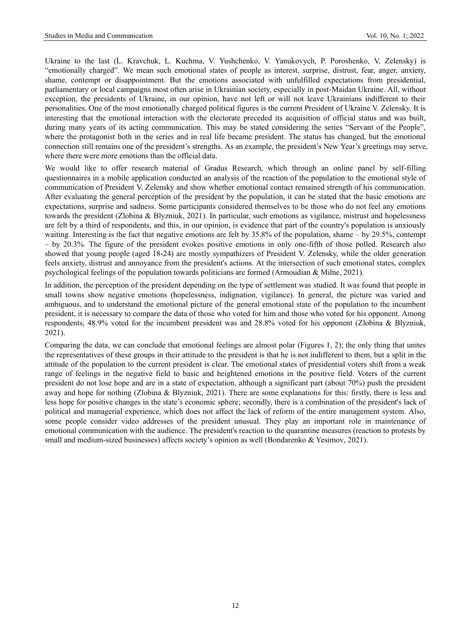Ukraine to the last (L. Kravchuk, L. Kuchma, V. Yushchenko, V. Yanukovych, P. Poroshenko, V. Zelensky) is "emotionally charged". We mean such emotional states of people as interest, surprise, distrust, fear, anger, anxiety, shame, contempt or disappointment. But the emotions associated with unfulfilled expectations from presidential, parliamentary or local campaigns most often arise in Ukrainian society, especially in post-Maidan Ukraine. All, without exception, the presidents of Ukraine, in our opinion, have not left or will not leave Ukrainians indifferent to their personalities. One of the most emotionally charged political figures is the current President of Ukraine V. Zelensky. It is interesting that the emotional interaction with the electorate preceded its acquisition of official status and was built, during many years of its acting communication. This may be stated considering the series "Servant of the People", where the protagonist both in the series and in real life became president. The status has changed, but the emotional connection still remains one of the president's strengths. As an example, the president's New Year's greetings may serve, where there were more emotions than the official data.

We would like to offer research material of Gradus Research, which through an online panel by self-filling questionnaires in a mobile application conducted an analysis of the reaction of the population to the emotional style of communication of President V. Zelensky and show whether emotional contact remained strength of his communication. After evaluating the general perception of the president by the population, it can be stated that the basic emotions are expectations, surprise and sadness. Some participants considered themselves to be those who do not feel any emotions towards the president (Zlobina & Blyzniuk, 2021). In particular, such emotions as vigilance, mistrust and hopelessness are felt by a third of respondents, and this, in our opinion, is evidence that part of the country's population is anxiously waiting. Interesting is the fact that negative emotions are felt by 35.8% of the population, shame – by 29.5%, contempt – by 20.3%. The figure of the president evokes positive emotions in only one-fifth of those polled. Research also showed that young people (aged 18-24) are mostly sympathizers of President V. Zelensky, while the older generation feels anxiety, distrust and annoyance from the president's actions. At the intersection of such emotional states, complex psychological feelings of the population towards politicians are formed (Armoudian & Milne, 2021).

In addition, the perception of the president depending on the type of settlement was studied. It was found that people in small towns show negative emotions (hopelessness, indignation, vigilance). In general, the picture was varied and ambiguous, and to understand the emotional picture of the general emotional state of the population to the incumbent president, it is necessary to compare the data of those who voted for him and those who voted for his opponent. Among respondents, 48.9% voted for the incumbent president was and 28.8% voted for his opponent (Zlobina & Blyzniuk, 2021).

Comparing the data, we can conclude that emotional feelings are almost polar (Figures 1, 2); the only thing that unites the representatives of these groups in their attitude to the president is that he is not indifferent to them, but a split in the attitude of the population to the current president is clear. The emotional states of presidential voters shift from a weak range of feelings in the negative field to basic and heightened emotions in the positive field. Voters of the current president do not lose hope and are in a state of expectation, although a significant part (about 70%) push the president away and hope for nothing (Zlobina & Blyzniuk, 2021). There are some explanations for this: firstly, there is less and less hope for positive changes in the state's economic sphere; secondly, there is a combination of the president's lack of political and managerial experience, which does not affect the lack of reform of the entire management system. Also, some people consider video addresses of the president unusual. They play an important role in maintenance of emotional communication with the audience. The president's reaction to the quarantine measures (reaction to protests by small and medium-sized businesses) affects society's opinion as well (Bondarenko & Yesimov, 2021).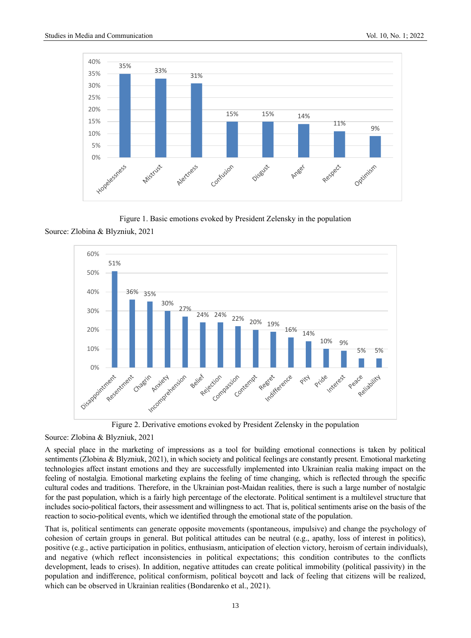

Figure 1. Basic emotions evoked by President Zelensky in the population Source: Zlobina & Blyzniuk, 2021



Figure 2. Derivative emotions evoked by President Zelensky in the population

## Source: Zlobina & Blyzniuk, 2021

A special place in the marketing of impressions as a tool for building emotional connections is taken by political sentiments (Zlobina & Blyzniuk, 2021), in which society and political feelings are constantly present. Emotional marketing technologies affect instant emotions and they are successfully implemented into Ukrainian realia making impact on the feeling of nostalgia. Emotional marketing explains the feeling of time changing, which is reflected through the specific cultural codes and traditions. Therefore, in the Ukrainian post-Maidan realities, there is such a large number of nostalgic for the past population, which is a fairly high percentage of the electorate. Political sentiment is a multilevel structure that includes socio-political factors, their assessment and willingness to act. That is, political sentiments arise on the basis of the reaction to socio-political events, which we identified through the emotional state of the population.

That is, political sentiments can generate opposite movements (spontaneous, impulsive) and change the psychology of cohesion of certain groups in general. But political attitudes can be neutral (e.g., apathy, loss of interest in politics), positive (e.g., active participation in politics, enthusiasm, anticipation of election victory, heroism of certain individuals), and negative (which reflect inconsistencies in political expectations; this condition contributes to the conflicts development, leads to crises). In addition, negative attitudes can create political immobility (political passivity) in the population and indifference, political conformism, political boycott and lack of feeling that citizens will be realized, which can be observed in Ukrainian realities (Bondarenko et al., 2021).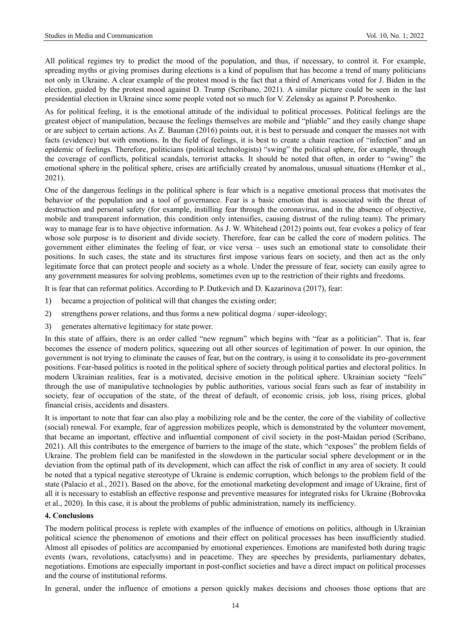All political regimes try to predict the mood of the population, and thus, if necessary, to control it. For example, spreading myths or giving promises during elections is a kind of populism that has become a trend of many politicians not only in Ukraine. A clear example of the protest mood is the fact that a third of Americans voted for J. Biden in the election, guided by the protest mood against D. Trump (Scribano, 2021). A similar picture could be seen in the last presidential election in Ukraine since some people voted not so much for V. Zelensky as against P. Poroshenko.

As for political feeling, it is the emotional attitude of the individual to political processes. Political feelings are the greatest object of manipulation, because the feelings themselves are mobile and "pliable" and they easily change shape or are subject to certain actions. As Z. Bauman (2016) points out, it is best to persuade and conquer the masses not with facts (evidence) but with emotions. In the field of feelings, it is best to create a chain reaction of "infection" and an epidemic of feelings. Therefore, politicians (political technologists) "swing" the political sphere, for example, through the coverage of conflicts, political scandals, terrorist attacks. It should be noted that often, in order to "swing" the emotional sphere in the political sphere, crises are artificially created by anomalous, unusual situations (Hemker et al., 2021).

One of the dangerous feelings in the political sphere is fear which is a negative emotional process that motivates the behavior of the population and a tool of governance. Fear is a basic emotion that is associated with the threat of destruction and personal safety (for example, instilling fear through the coronavirus, and in the absence of objective, mobile and transparent information, this condition only intensifies, causing distrust of the ruling team). The primary way to manage fear is to have objective information. As J. W. Whitehead (2012) points out, fear evokes a policy of fear whose sole purpose is to disorient and divide society. Therefore, fear can be called the core of modern politics. The government either eliminates the feeling of fear, or vice versa – uses such an emotional state to consolidate their positions. In such cases, the state and its structures first impose various fears on society, and then act as the only legitimate force that can protect people and society as a whole. Under the pressure of fear, society can easily agree to any government measures for solving problems, sometimes even up to the restriction of their rights and freedoms.

It is fear that can reformat politics. According to P. Dutkevich and D. Kazarinova (2017), fear:

- 1) became a projection of political will that changes the existing order;
- 2) strengthens power relations, and thus forms a new political dogma / super-ideology;
- 3) generates alternative legitimacy for state power.

In this state of affairs, there is an order called "new regnum" which begins with "fear as a politician". That is, fear becomes the essence of modern politics, squeezing out all other sources of legitimation of power. In our opinion, the government is not trying to eliminate the causes of fear, but on the contrary, is using it to consolidate its pro-government positions. Fear-based politics is rooted in the political sphere of society through political parties and electoral politics. In modern Ukrainian realities, fear is a motivated, decisive emotion in the political sphere. Ukrainian society "feels" through the use of manipulative technologies by public authorities, various social fears such as fear of instability in society, fear of occupation of the state, of the threat of default, of economic crisis, job loss, rising prices, global financial crisis, accidents and disasters.

It is important to note that fear can also play a mobilizing role and be the center, the core of the viability of collective (social) renewal. For example, fear of aggression mobilizes people, which is demonstrated by the volunteer movement, that became an important, effective and influential component of civil society in the post-Maidan period (Scribano, 2021). All this contributes to the emergence of barriers to the image of the state, which "exposes" the problem fields of Ukraine. The problem field can be manifested in the slowdown in the particular social sphere development or in the deviation from the optimal path of its development, which can affect the risk of conflict in any area of society. It could be noted that a typical negative stereotype of Ukraine is endemic corruption, which belongs to the problem field of the state (Palacio et al., 2021). Based on the above, for the emotional marketing development and image of Ukraine, first of all it is necessary to establish an effective response and preventive measures for integrated risks for Ukraine (Bobrovska et al., 2020). In this case, it is about the problems of public administration, namely its inefficiency.

#### **4. Conclusions**

The modern political process is replete with examples of the influence of emotions on politics, although in Ukrainian political science the phenomenon of emotions and their effect on political processes has been insufficiently studied. Almost all episodes of politics are accompanied by emotional experiences. Emotions are manifested both during tragic events (wars, revolutions, cataclysms) and in peacetime. They are speeches by presidents, parliamentary debates, negotiations. Emotions are especially important in post-conflict societies and have a direct impact on political processes and the course of institutional reforms.

In general, under the influence of emotions a person quickly makes decisions and chooses those options that are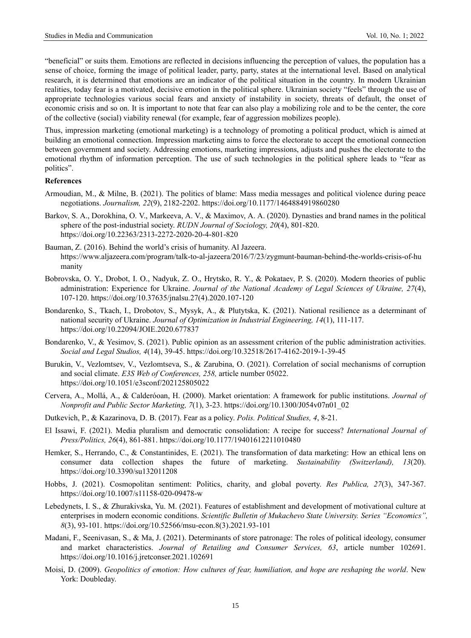"beneficial" or suits them. Emotions are reflected in decisions influencing the perception of values, the population has a sense of choice, forming the image of political leader, party, party, states at the international level. Based on analytical research, it is determined that emotions are an indicator of the political situation in the country. In modern Ukrainian realities, today fear is a motivated, decisive emotion in the political sphere. Ukrainian society "feels" through the use of appropriate technologies various social fears and anxiety of instability in society, threats of default, the onset of economic crisis and so on. It is important to note that fear can also play a mobilizing role and to be the center, the core of the collective (social) viability renewal (for example, fear of aggression mobilizes people).

Thus, impression marketing (emotional marketing) is a technology of promoting a political product, which is aimed at building an emotional connection. Impression marketing aims to force the electorate to accept the emotional connection between government and society. Addressing emotions, marketing impressions, adjusts and pushes the electorate to the emotional rhythm of information perception. The use of such technologies in the political sphere leads to "fear as politics".

## **References**

- Armoudian, M., & Milne, B. (2021). The politics of blame: Mass media messages and political violence during peace negotiations. *Journalism, 22*(9), 2182-2202. https://doi.org/10.1177/1464884919860280
- Barkov, S. A., Dorokhina, О. V., Markeeva, A. V., & Maximov, A. A. (2020). Dynasties and brand names in the political sphere of the post-industrial society. *RUDN Journal of Sociology, 20*(4), 801-820. https://doi.org/10.22363/2313-2272-2020-20-4-801-820
- Bauman, Z. (2016). Behind the world's crisis of humanity. Al Jazeera. https://www.aljazeera.com/program/talk-to-al-jazeera/2016/7/23/zygmunt-bauman-behind-the-worlds-crisis-of-hu manity
- Bobrovska, O. Y., Drobot, I. O., Nadyuk, Z. O., Hrytsko, R. Y., & Pokataev, P. S. (2020). Modern theories of public administration: Experience for Ukraine. *Journal of the National Academy of Legal Sciences of Ukraine, 27*(4), 107-120. https://doi.org/10.37635/jnalsu.27(4).2020.107-120
- Bondarenko, S., Tkach, I., Drobotov, S., Mysyk, A., & Plutytska, K. (2021). National resilience as a determinant of national security of Ukraine. *Journal of Optimization in Industrial Engineering, 14*(1), 111-117. https://doi.org/10.22094/JOIE.2020.677837
- Bondarenko, V., & Yesimov, S. (2021). Public opinion as an assessment criterion of the public administration activities. *Social and Legal Studios, 4*(14), 39-45. <https://doi.org/10.32518/2617-4162-2019-1-39-45>
- Burukin, V., Vezlomtsev, V., Vezlomtseva, S., & Zarubina, O. (2021). Correlation of social mechanisms of corruption and social climate. *E3S Web of Conferences, 258,* article number 05022. https://doi.org/10.1051/e3sconf/202125805022
- Cervera, A., Mollá, A., & Calderóoan, H. (2000). Market orientation: A framework for public institutions. *Journal of Nonprofit and Public Sector Marketing, 7*(1), 3-23. https://doi.org/10.1300/J054v07n01\_02
- Dutkevich, P., & Kazarinova, D. B. (2017). Fear as a policy. *Polis. Political Studies, 4*, 8-21.
- El Issawi, F. (2021). Media pluralism and democratic consolidation: A recipe for success? *International Journal of Press/Politics, 26*(4), 861-881. https://doi.org/10.1177/19401612211010480
- Hemker, S., Herrando, C., & Constantinides, E. (2021). The transformation of data marketing: How an ethical lens on consumer data collection shapes the future of marketing. *Sustainability (Switzerland), 13*(20). https://doi.org/10.3390/su132011208
- Hobbs, J. (2021). Cosmopolitan sentiment: Politics, charity, and global poverty. *Res Publica, 27*(3), 347-367. https://doi.org/10.1007/s11158-020-09478-w
- Lebedynets, I. S., & Zhurakivska, Yu. M. (2021). Features of establishment and development of motivational culture at enterprises in modern economic conditions. *Scientific Bulletin of Mukachevo State University. Series "Economics", 8*(3), 93-101. [https://doi.org/10.52566/msu-econ.8\(3\).2021.93-101](https://doi.org/10.52566/msu-econ.8(3).2021.93-101)
- Madani, F., Seenivasan, S., & Ma, J. (2021). Determinants of store patronage: The roles of political ideology, consumer and market characteristics. *Journal of Retailing and Consumer Services, 63*, article number 102691. https://doi.org/10.1016/j.jretconser.2021.102691
- Moisi, D. (2009). *Geopolitics of emotion: How cultures of fear, humiliation, and hope are reshaping the world*. New York: Doubleday.